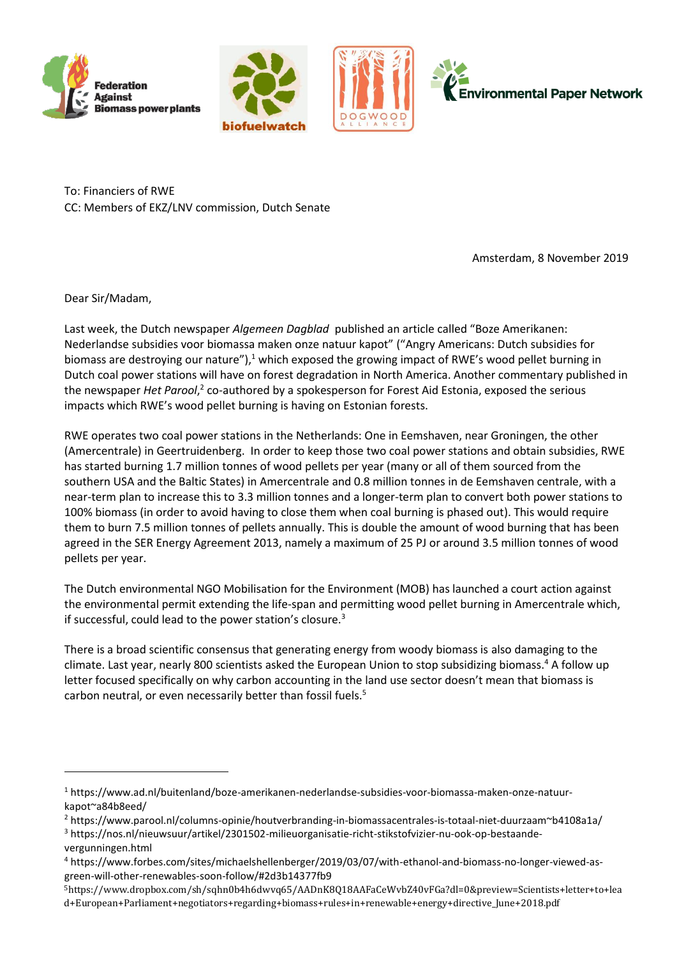







To: Financiers of RWE CC: Members of EKZ/LNV commission, Dutch Senate

Amsterdam, 8 November 2019

Dear Sir/Madam,

Last week, the Dutch newspaper *Algemeen Dagblad* published an article called "Boze Amerikanen: Nederlandse subsidies voor biomassa maken onze natuur kapot" ("Angry Americans: Dutch subsidies for biomass are destroying our nature"),<sup>1</sup> which exposed the growing impact of RWE's wood pellet burning in Dutch coal power stations will have on forest degradation in North America. Another commentary published in the newspaper *Het Parool*,<sup>2</sup> co-authored by a spokesperson for Forest Aid Estonia, exposed the serious impacts which RWE's wood pellet burning is having on Estonian forests.

RWE operates two coal power stations in the Netherlands: One in Eemshaven, near Groningen, the other (Amercentrale) in Geertruidenberg. In order to keep those two coal power stations and obtain subsidies, RWE has started burning 1.7 million tonnes of wood pellets per year (many or all of them sourced from the southern USA and the Baltic States) in Amercentrale and 0.8 million tonnes in de Eemshaven centrale, with a near-term plan to increase this to 3.3 million tonnes and a longer-term plan to convert both power stations to 100% biomass (in order to avoid having to close them when coal burning is phased out). This would require them to burn 7.5 million tonnes of pellets annually. This is double the amount of wood burning that has been agreed in the SER Energy Agreement 2013, namely a maximum of 25 PJ or around 3.5 million tonnes of wood pellets per year.

The Dutch environmental NGO Mobilisation for the Environment (MOB) has launched a court action against the environmental permit extending the life-span and permitting wood pellet burning in Amercentrale which, if successful, could lead to the power station's closure.<sup>3</sup>

There is a broad scientific consensus that generating energy from woody biomass is also damaging to the climate. Last year, nearly 800 scientists asked the European Union to stop subsidizing biomass.<sup>4</sup> A follow up letter focused specifically on why carbon accounting in the land use sector doesn't mean that biomass is carbon neutral, or even necessarily better than fossil fuels.<sup>5</sup>

<sup>1</sup> [https://www.ad.nl/buitenland/boze-amerikanen-nederlandse-subsidies-voor-biomassa-maken-onze-natuur](https://www.ad.nl/buitenland/boze-amerikanen-nederlandse-subsidies-voor-biomassa-maken-onze-natuur-kapot~a84b8eed/)[kapot~a84b8eed/](https://www.ad.nl/buitenland/boze-amerikanen-nederlandse-subsidies-voor-biomassa-maken-onze-natuur-kapot~a84b8eed/)

<sup>2</sup> <https://www.parool.nl/columns-opinie/houtverbranding-in-biomassacentrales-is-totaal-niet-duurzaam~b4108a1a/>

<sup>3</sup> [https://nos.nl/nieuwsuur/artikel/2301502-milieuorganisatie-richt-stikstofvizier-nu-ook-op-bestaande](https://nos.nl/nieuwsuur/artikel/2301502-milieuorganisatie-richt-stikstofvizier-nu-ook-op-bestaande-vergunningen.html)[vergunningen.html](https://nos.nl/nieuwsuur/artikel/2301502-milieuorganisatie-richt-stikstofvizier-nu-ook-op-bestaande-vergunningen.html)

<sup>4</sup> [https://www.forbes.com/sites/michaelshellenberger/2019/03/07/with-ethanol-and-biomass-no-longer-viewed-as](https://www.forbes.com/sites/michaelshellenberger/2019/03/07/with-ethanol-and-biomass-no-longer-viewed-as-green-will-other-renewables-soon-follow/#2d3b14377fb9)[green-will-other-renewables-soon-follow/#2d3b14377fb9](https://www.forbes.com/sites/michaelshellenberger/2019/03/07/with-ethanol-and-biomass-no-longer-viewed-as-green-will-other-renewables-soon-follow/#2d3b14377fb9)

<sup>5</sup>[https://www.dropbox.com/sh/sqhn0b4h6dwvq65/AADnK8Q18AAFaCeWvbZ40vFGa?dl=0&preview=Scientists+letter+to+lea](https://www.dropbox.com/sh/sqhn0b4h6dwvq65/AADnK8Q18AAFaCeWvbZ40vFGa?dl=0&preview=Scientists+letter+to+lead+European+Parliament+negotiators+regarding+biomass+rules+in+renewable+energy+directive_June+2018.pdf) [d+European+Parliament+negotiators+regarding+biomass+rules+in+renewable+energy+directive\\_June+2018.pdf](https://www.dropbox.com/sh/sqhn0b4h6dwvq65/AADnK8Q18AAFaCeWvbZ40vFGa?dl=0&preview=Scientists+letter+to+lead+European+Parliament+negotiators+regarding+biomass+rules+in+renewable+energy+directive_June+2018.pdf)